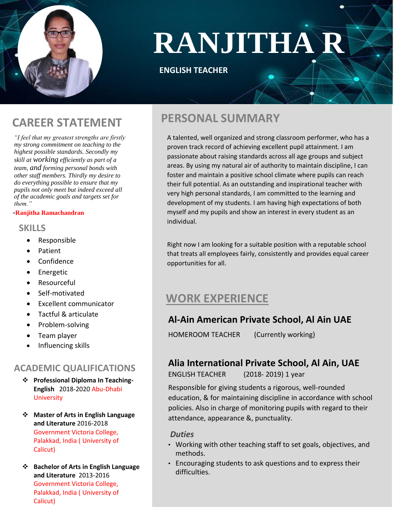

# **RANJITHA R**

#### **ENGLISH TEACHER**

*"I feel that my greatest strengths are firstly my strong commitment on teaching to the highest possible standards. Secondly my skill at working efficiently as part of a team, and forming personal bonds with other staff members. Thirdly my desire to do everything possible to ensure that my pupils not only meet but indeed exceed all of the academic goals and targets set for them."*

#### **-Ranjitha Ramachandran**

#### **SKILLS**

- Responsible
- Patient
- Confidence
- **•** Energetic
- Resourceful
- Self-motivated
- Excellent communicator
- Tactful & articulate
- Problem-solving
- Team player
- Influencing skills

#### **ACADEMIC QUALIFICATIONS**

- **❖** Professional Diploma In Teaching-**English** 2018-2020 Abu-Dhabi **University**
- **Master of Arts in English Language and Literature** 2016-2018 Government Victoria College, Palakkad, India ( University of Calicut)
- **Bachelor of Arts in English Language and Literature** 2013-2016 Government Victoria College, Palakkad, India ( University of Calicut)

# **PERSONAL SUMMARY CAREER STATEMENT**

A talented, well organized and strong classroom performer, who has a proven track record of achieving excellent pupil attainment. I am passionate about raising standards across all age groups and subject areas. By using my natural air of authority to maintain discipline, I can foster and maintain a positive school climate where pupils can reach their full potential. As an outstanding and inspirational teacher with very high personal standards, I am committed to the learning and development of my students. I am having high expectations of both myself and my pupils and show an interest in every student as an individual.

Right now I am looking for a suitable position with a reputable school that treats all employees fairly, consistently and provides equal career opportunities for all.

## **WORK EXPERIENCE**

#### **Al-Ain American Private School, Al Ain UAE**

HOMEROOM TEACHER (Currently working)

#### **Alia International Private School, Al Ain, UAE**

ENGLISH TEACHER (2018- 2019) 1 year

Responsible for giving students a rigorous, well-rounded education, & for maintaining discipline in accordance with school policies. Also in charge of monitoring pupils with regard to their attendance, appearance &, punctuality.

#### *Duties*

- Working with other teaching staff to set goals, objectives, and methods.
- Encouraging students to ask questions and to express their difficulties.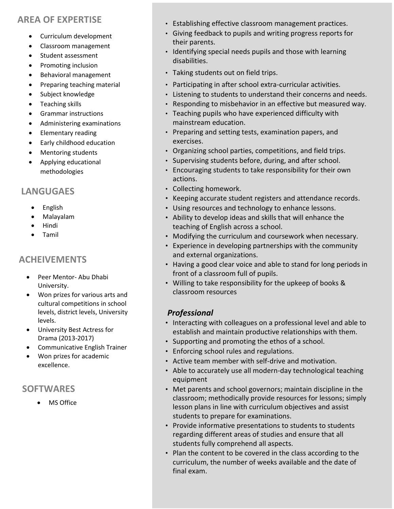#### **AREA OF EXPERTISE**

- Curriculum development
- Classroom management
- Student assessment
- Promoting inclusion
- Behavioral management
- Preparing teaching material
- Subject knowledge
- Teaching skills
- Grammar instructions
- Administering examinations
- Elementary reading
- Early childhood education
- Mentoring students
- Applying educational methodologies

#### **LANGUGAES**

- English
- Malayalam
- Hindi
- Tamil

#### **ACHEIVEMENTS**

- Peer Mentor- Abu Dhabi University.
- Won prizes for various arts and cultural competitions in school levels, district levels, University levels.
- University Best Actress for Drama (2013-2017)
- Communicative English Trainer
- Won prizes for academic excellence.

### **SOFTWARES**

MS Office

- Establishing effective classroom management practices.
- Giving feedback to pupils and writing progress reports for their parents.
- Identifying special needs pupils and those with learning disabilities.
- Taking students out on field trips.
- Participating in after school extra-curricular activities.
- Listening to students to understand their concerns and needs.
- Responding to misbehavior in an effective but measured way.
- Teaching pupils who have experienced difficulty with mainstream education.
- Preparing and setting tests, examination papers, and exercises.
- Organizing school parties, competitions, and field trips.
- Supervising students before, during, and after school.
- Encouraging students to take responsibility for their own actions.
- Collecting homework.
- Keeping accurate student registers and attendance records.
- Using resources and technology to enhance lessons.
- Ability to develop ideas and skills that will enhance the teaching of English across a school.
- Modifying the curriculum and coursework when necessary.
- Experience in developing partnerships with the community and external organizations.
- Having a good clear voice and able to stand for long periods in front of a classroom full of pupils.
- Willing to take responsibility for the upkeep of books & classroom resources

#### *Professional*

- Interacting with colleagues on a professional level and able to establish and maintain productive relationships with them.
- Supporting and promoting the ethos of a school.
- Enforcing school rules and regulations.
- Active team member with self-drive and motivation.
- Able to accurately use all modern-day technological teaching equipment
- Met parents and school governors; maintain discipline in the classroom; methodically provide resources for lessons; simply lesson plans in line with curriculum objectives and assist students to prepare for examinations.
- Provide informative presentations to students to students regarding different areas of studies and ensure that all students fully comprehend all aspects.
- Plan the content to be covered in the class according to the curriculum, the number of weeks available and the date of final exam.